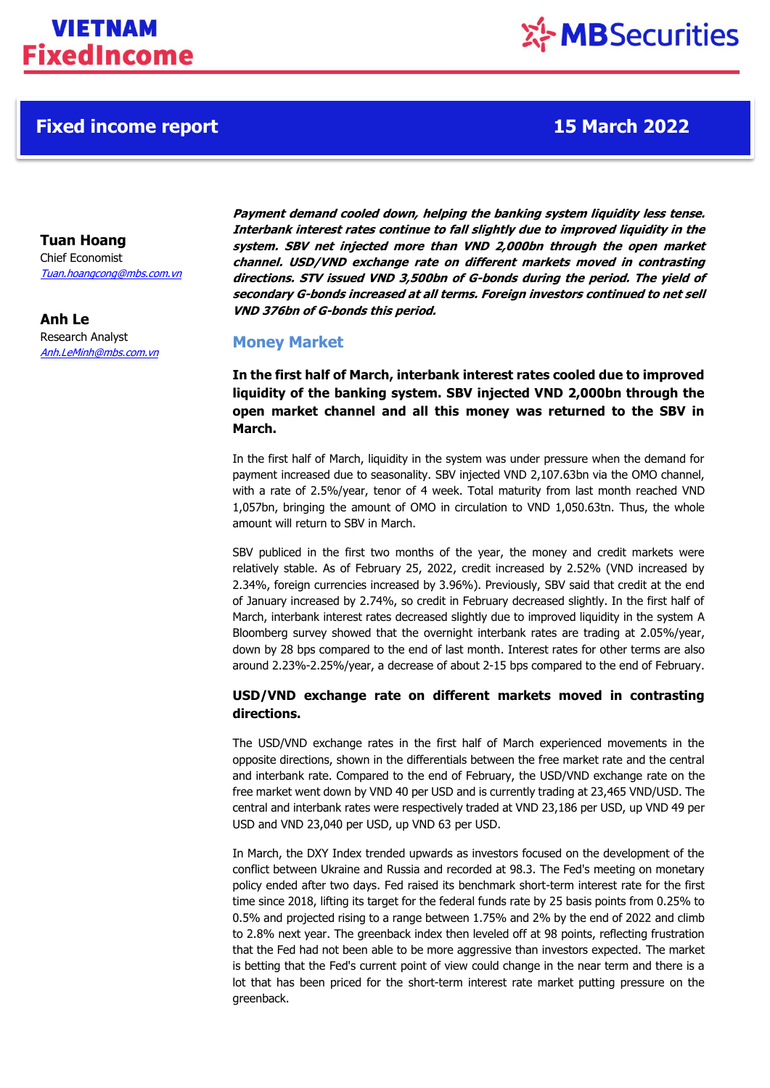## **Fixed income report 15 March 2022**

# ※ MBSecurities

**Tuan Hoang**

Chief Economist [Tuan.hoangcong@mbs.com.vn](mailto:Tuan.hoangcong@mbs.com.vn)

**Anh Le** Research Analyst Anh.LeMinh@mbs.com.vn **Payment demand cooled down, helping the banking system liquidity less tense. Interbank interest rates continue to fall slightly due to improved liquidity in the system. SBV net injected more than VND 2,000bn through the open market channel. USD/VND exchange rate on different markets moved in contrasting directions. STV issued VND 3,500bn of G-bonds during the period. The yield of secondary G-bonds increased at all terms. Foreign investors continued to net sell VND 376bn of G-bonds this period.**

### **Money Market**

**In the first half of March, interbank interest rates cooled due to improved liquidity of the banking system. SBV injected VND 2,000bn through the open market channel and all this money was returned to the SBV in March.**

In the first half of March, liquidity in the system was under pressure when the demand for payment increased due to seasonality. SBV injected VND 2,107.63bn via the OMO channel, with a rate of 2.5%/year, tenor of 4 week. Total maturity from last month reached VND 1,057bn, bringing the amount of OMO in circulation to VND 1,050.63tn. Thus, the whole amount will return to SBV in March.

SBV publiced in the first two months of the year, the money and credit markets were relatively stable. As of February 25, 2022, credit increased by 2.52% (VND increased by 2.34%, foreign currencies increased by 3.96%). Previously, SBV said that credit at the end of January increased by 2.74%, so credit in February decreased slightly. In the first half of March, interbank interest rates decreased slightly due to improved liquidity in the system A Bloomberg survey showed that the overnight interbank rates are trading at 2.05%/year, down by 28 bps compared to the end of last month. Interest rates for other terms are also around 2.23%-2.25%/year, a decrease of about 2-15 bps compared to the end of February.

### **USD/VND exchange rate on different markets moved in contrasting directions.**

The USD/VND exchange rates in the first half of March experienced movements in the opposite directions, shown in the differentials between the free market rate and the central and interbank rate. Compared to the end of February, the USD/VND exchange rate on the free market went down by VND 40 per USD and is currently trading at 23,465 VND/USD. The central and interbank rates were respectively traded at VND 23,186 per USD, up VND 49 per USD and VND 23,040 per USD, up VND 63 per USD.

In March, the DXY Index trended upwards as investors focused on the development of the conflict between Ukraine and Russia and recorded at 98.3. The Fed's meeting on monetary policy ended after two days. Fed raised its benchmark short-term interest rate for the first time since 2018, lifting its target for the federal funds rate by 25 basis points from 0.25% to 0.5% and projected rising to a range between 1.75% and 2% by the end of 2022 and climb to 2.8% next year. The greenback index then leveled off at 98 points, reflecting frustration that the Fed had not been able to be more aggressive than investors expected. The market is betting that the Fed's current point of view could change in the near term and there is a lot that has been priced for the short-term interest rate market putting pressure on the greenback.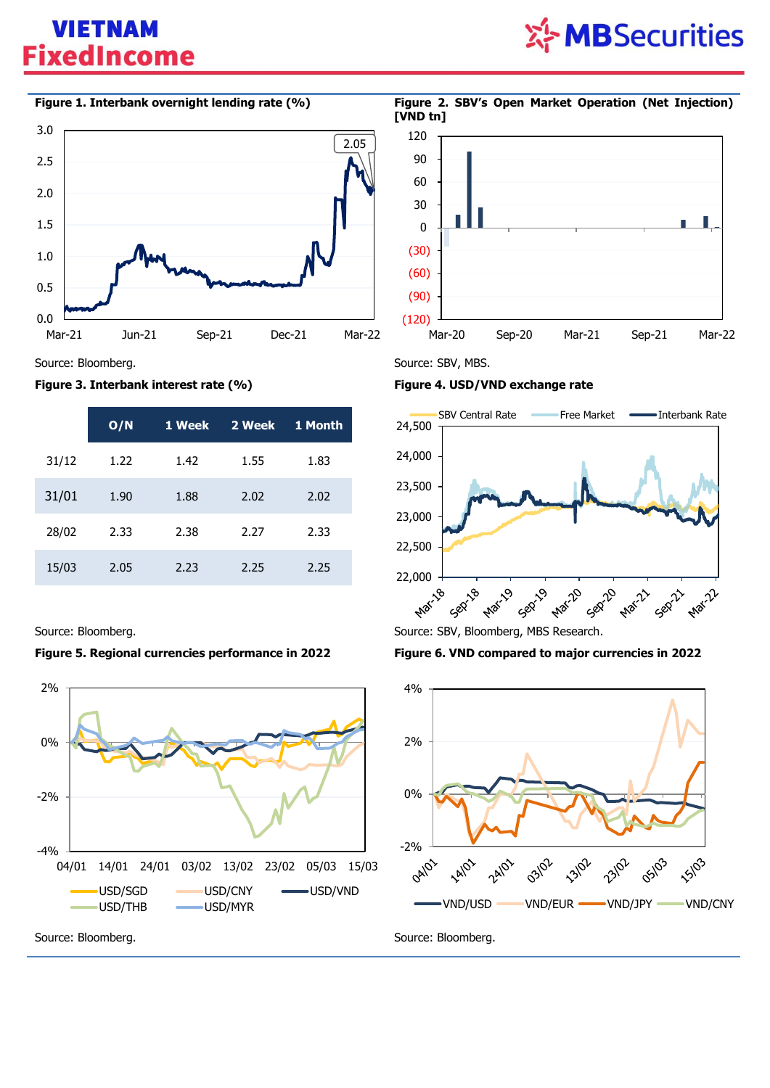## **VIETNAM FixedIncome**

# ※ MBSecurities

### **Figure 1. Interbank overnight lending rate (%) Figure 2. SBV's Open Market Operation (Net Injection)**



### Source: Bloomberg. Source: SBV, MBS.

### **Figure 3. Interbank interest rate (%) Figure 4. USD/VND exchange rate**

|       | O/N  | 1 Week | 2 Week | 1 Month |
|-------|------|--------|--------|---------|
| 31/12 | 1.22 | 1.42   | 1.55   | 1.83    |
| 31/01 | 1.90 | 1.88   | 2.02   | 2.02    |
| 28/02 | 2.33 | 2.38   | 2.27   | 2.33    |
| 15/03 | 2.05 | 2.23   | 2.25   | 2.25    |

### **Figure 5. Regional currencies performance in 2022 Figure 6. VND compared to major currencies in 2022**







**[VND tn]**

(120) (90) (60) (30)  $\Omega$ 30 60 90 120

24,500

24,000 23,500 23,000 22,500 22,000 + Source: Bloomberg. Source: SBV, Bloomberg, MBS Research. **Marita** Sepilar **Marzo** Mar-22

Mar-20 Sep-20 Mar-21 Sep-21 Mar-22

SBV Central Rate Free Market — Interbank Rate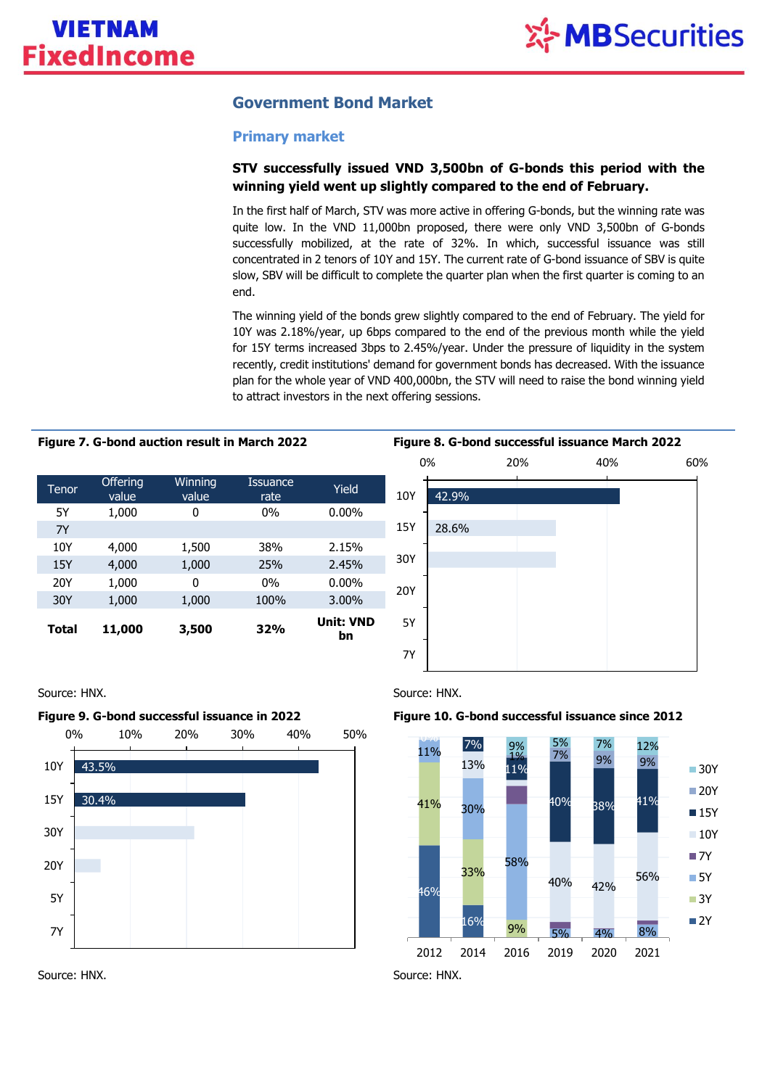### **Government Bond Market**

### **Primary market**

### **STV successfully issued VND 3,500bn of G-bonds this period with the winning yield went up slightly compared to the end of February.**

In the first half of March, STV was more active in offering G-bonds, but the winning rate was quite low. In the VND 11,000bn proposed, there were only VND 3,500bn of G-bonds successfully mobilized, at the rate of 32%. In which, successful issuance was still concentrated in 2 tenors of 10Y and 15Y. The current rate of G-bond issuance of SBV is quite slow, SBV will be difficult to complete the quarter plan when the first quarter is coming to an end.

The winning yield of the bonds grew slightly compared to the end of February. The yield for 10Y was 2.18%/year, up 6bps compared to the end of the previous month while the yield for 15Y terms increased 3bps to 2.45%/year. Under the pressure of liquidity in the system recently, credit institutions' demand for government bonds has decreased. With the issuance plan for the whole year of VND 400,000bn, the STV will need to raise the bond winning yield to attract investors in the next offering sessions.

| Tenor        | <b>Offering</b><br>value | Winning<br>value | Issuance<br>rate | Yield                  |
|--------------|--------------------------|------------------|------------------|------------------------|
| 5Y           | 1,000                    | 0                | $0\%$            | $0.00\%$               |
| 7Y           |                          |                  |                  |                        |
| 10Y          | 4,000                    | 1,500            | 38%              | 2.15%                  |
| 15Y          | 4,000                    | 1,000            | 25%              | 2.45%                  |
| 20Y          | 1,000                    | 0                | $0\%$            | $0.00\%$               |
| 30Y          | 1,000                    | 1,000            | 100%             | 3.00%                  |
| <b>Total</b> | 11,000                   | 3,500            | <b>32%</b>       | <b>Unit: VND</b><br>bn |











### **Figure 9. G-bond successful issuance in 2022 Figure 10. G-bond successful issuance since 2012**



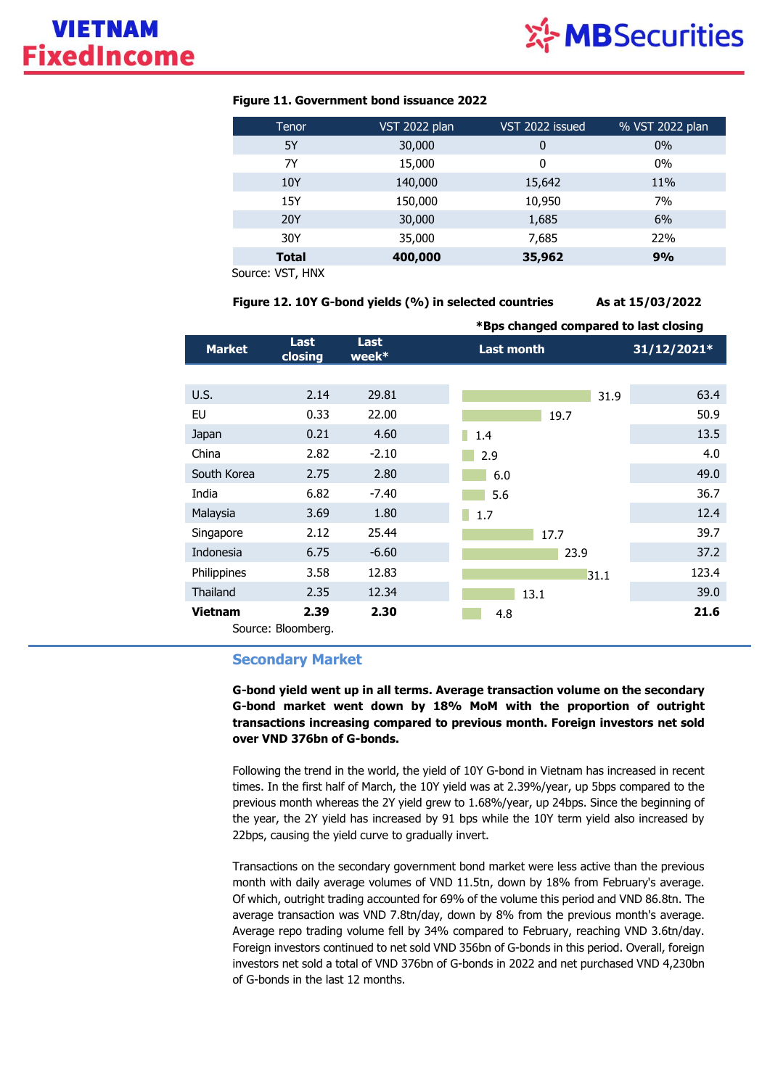

### **Figure 11. Government bond issuance 2022**

| Tenor        | <b>VST 2022 plan</b> | VST 2022 issued | % VST 2022 plan |
|--------------|----------------------|-----------------|-----------------|
| 5Y           | 30,000               | 0               | $0\%$           |
| 7Y           | 15,000               | 0               | 0%              |
| 10Y          | 140,000              | 15,642          | 11%             |
| 15Y          | 150,000              | 10,950          | 7%              |
| <b>20Y</b>   | 30,000               | 1,685           | 6%              |
| 30Y          | 35,000               | 7,685           | 22%             |
| <b>Total</b> | 400,000              | 35,962          | 9%              |
| 1.11111      |                      |                 |                 |

Source: VST, HNX

**Figure 12. 10Y G-bond yields (%) in selected countries As at 15/03/2022**

|                 |                    |                         |                               | *Bps changed compared to last closing |  |  |
|-----------------|--------------------|-------------------------|-------------------------------|---------------------------------------|--|--|
| <b>Market</b>   | Last<br>closing    | <b>Last</b><br>week $*$ | <b>Last month</b>             | 31/12/2021*                           |  |  |
|                 |                    |                         |                               |                                       |  |  |
| U.S.            | 2.14               | 29.81                   |                               | 63.4<br>31.9                          |  |  |
| EU              | 0.33               | 22.00                   | 19.7                          | 50.9                                  |  |  |
| Japan           | 0.21               | 4.60                    | <b>Service Service</b><br>1.4 | 13.5                                  |  |  |
| China           | 2.82               | $-2.10$                 | 2.9                           | 4.0                                   |  |  |
| South Korea     | 2.75               | 2.80                    | 6.0                           | 49.0                                  |  |  |
| India           | 6.82               | $-7.40$                 | 5.6                           | 36.7                                  |  |  |
| Malaysia        | 3.69               | 1.80                    | 1.7                           | 12.4                                  |  |  |
| Singapore       | 2.12               | 25.44                   | 17.7                          | 39.7                                  |  |  |
| Indonesia       | 6.75               | $-6.60$                 | 23.9                          | 37.2                                  |  |  |
| Philippines     | 3.58               | 12.83                   | 31.1                          | 123.4                                 |  |  |
| <b>Thailand</b> | 2.35               | 12.34                   | 13.1                          | 39.0                                  |  |  |
| Vietnam         | 2.39               | 2.30                    | 4.8                           | 21.6                                  |  |  |
|                 | Source: Bloomberg. |                         |                               |                                       |  |  |

### **Secondary Market**

**G-bond yield went up in all terms. Average transaction volume on the secondary G-bond market went down by 18% MoM with the proportion of outright transactions increasing compared to previous month. Foreign investors net sold over VND 376bn of G-bonds.**

Following the trend in the world, the yield of 10Y G-bond in Vietnam has increased in recent times. In the first half of March, the 10Y yield was at 2.39%/year, up 5bps compared to the previous month whereas the 2Y yield grew to 1.68%/year, up 24bps. Since the beginning of the year, the 2Y yield has increased by 91 bps while the 10Y term yield also increased by 22bps, causing the yield curve to gradually invert.

Transactions on the secondary government bond market were less active than the previous month with daily average volumes of VND 11.5tn, down by 18% from February's average. Of which, outright trading accounted for 69% of the volume this period and VND 86.8tn. The average transaction was VND 7.8tn/day, down by 8% from the previous month's average. Average repo trading volume fell by 34% compared to February, reaching VND 3.6tn/day. Foreign investors continued to net sold VND 356bn of G-bonds in this period. Overall, foreign investors net sold a total of VND 376bn of G-bonds in 2022 and net purchased VND 4,230bn of G-bonds in the last 12 months.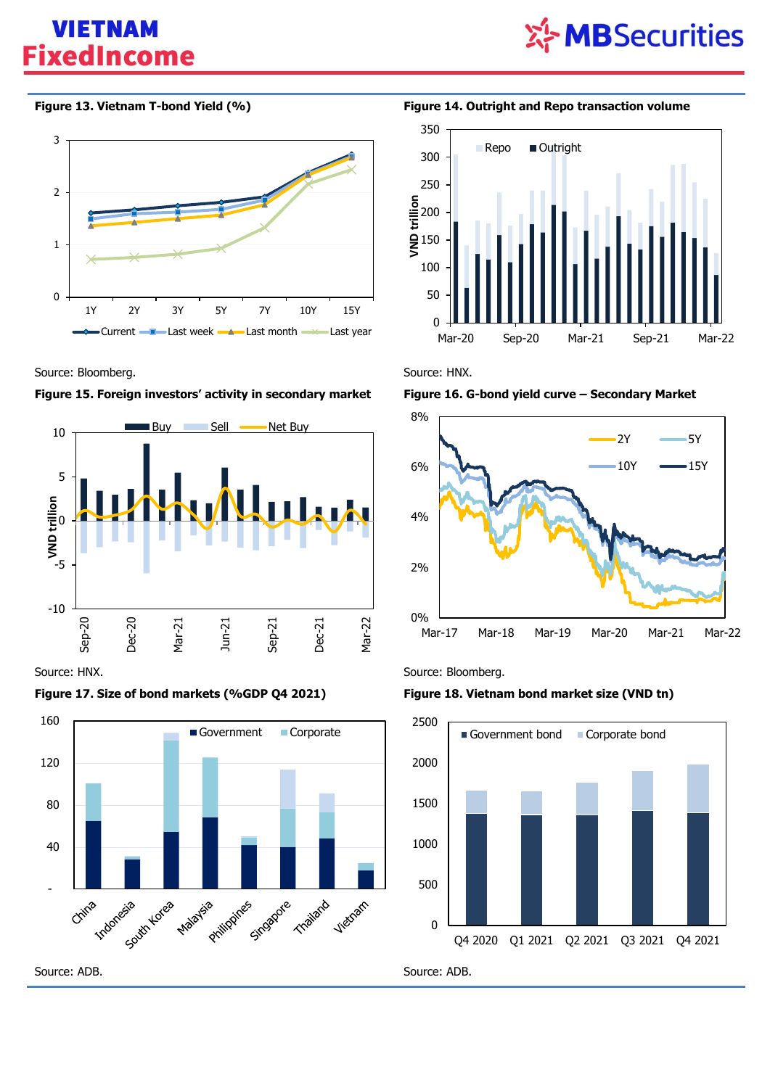## **VIETNAM FixedIncome**





Source: Bloomberg. **Source: HNX.** Source: HNX.







**Figure 13. Vietnam T-bond Yield (%) Figure 14. Outright and Repo transaction volume**







Source: HNX. Source: Bloomberg.

### **Figure 17. Size of bond markets (%GDP Q4 2021) Figure 18. Vietnam bond market size (VND tn)**

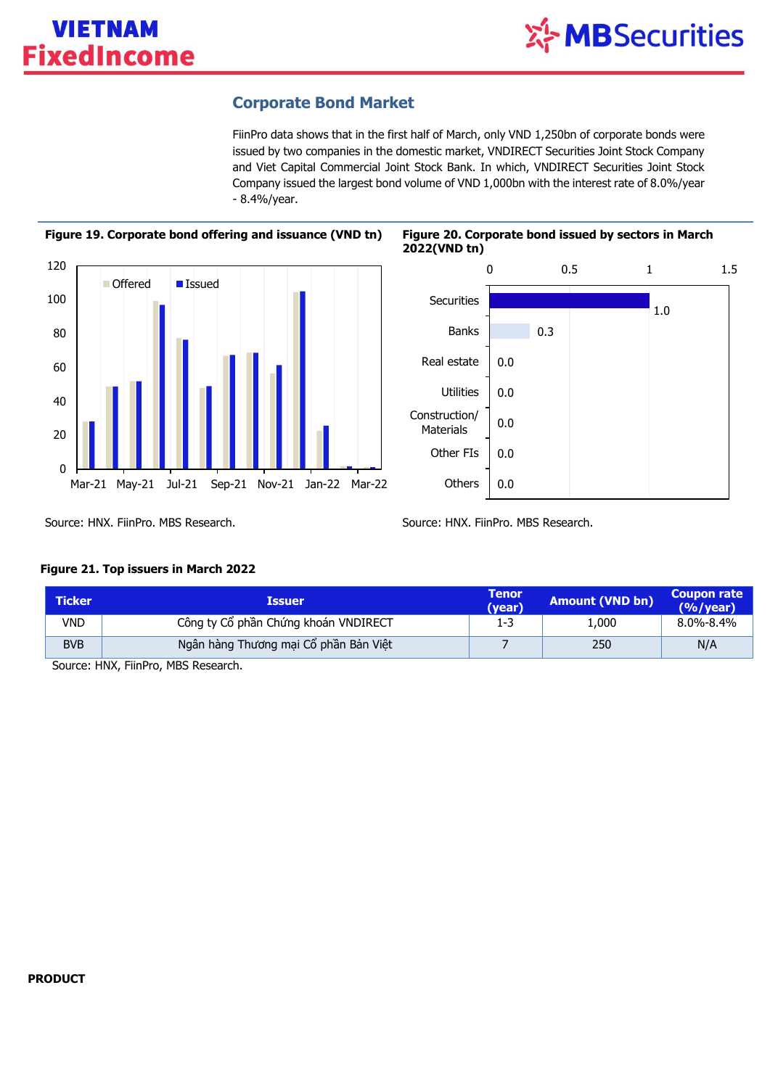### **Corporate Bond Market**

FiinPro data shows that in the first half of March, only VND 1,250bn of corporate bonds were issued by two companies in the domestic market, VNDIRECT Securities Joint Stock Company and Viet Capital Commercial Joint Stock Bank. In which, VNDIRECT Securities Joint Stock Company issued the largest bond volume of VND 1,000bn with the interest rate of 8.0%/year - 8.4%/year.





Source: HNX. FiinPro. MBS Research. Source: HNX. FiinPro. MBS Research.

0.0

Materials Other FIs

**Others** 

0.0

### **Figure 21. Top issuers in March 2022**

| <b>Issuer</b> | (year)                                                                        | <b>Amount (VND bn)</b> | <b>Coupon rate</b><br>$(%$ /year) |
|---------------|-------------------------------------------------------------------------------|------------------------|-----------------------------------|
|               | 1-3                                                                           | 1,000                  | $8.0\% - 8.4\%$                   |
|               |                                                                               | 250                    | N/A                               |
|               | Công ty Cổ phần Chứng khoán VNDIRECT<br>Ngân hàng Thương mại Cổ phần Bản Việt |                        |                                   |

Source: HNX, FiinPro, MBS Research.